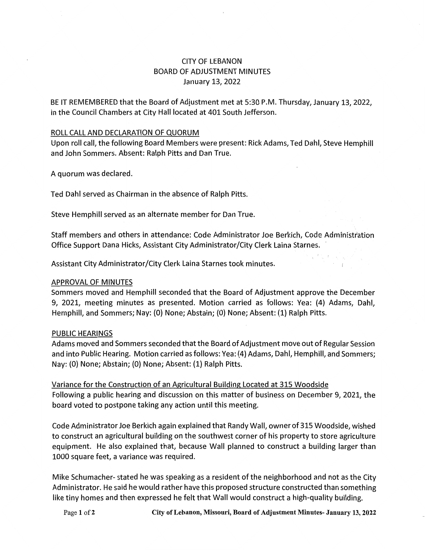# CITY OF LEBANON BOARD OF ADJUSTMENT MINUTES January 13, 2022

BE IT REMEMBERED that the Board of Adjustment met at 5:30 P.M. Thursday, January 13, 2022, in the Council Chambers at City Hall located at 401 South Jefferson.

#### ROLL CALL AND DECLARATION OF QUORUM

Upon roll call, the following Board Members were present: Rick Adams, Ted Dahl, Steve Hemphill and John Sommers. Absent: Ralph Pitts and Dan True.

A quorum was declared.

Ted Dahl served as Chairman in the absence of Ralph Pitts.

Steve Hemphill served as an alternate member for Dan True.

Staff members and others in attendance: Code Administrator Joe Berkich, Code Administration Office Support Dana Hicks, Assistant City Administrator/City Clerk Laina Starnes.

Assistant City Administrator/City Clerk Laina Starnes took minutes.

#### APPROVAL OF MINUTES

Sommers moved and Hemphill seconded that the Board of Adjustment approve the December 9, 2021, meeting minutes as presented. Motion carried as follows: Yea: (4) Adams, Dahl, Hemphill, and Sommers; Nay: (0) None; Abstain; (0) None; Absent: (1) Ralph Pitts.

#### PUBLIC HEARINGS

Adams moved and Sommers seconded that the Board of Adjustment move out of Regular Session and into Public Hearing. Motion carried as follows: Yea: (4) Adams, Dahl, Hemphill, and Sommers; Nay: (O) None; Abstain; (0) None; Absent: (1) Ralph Pitts.

Variance for the Construction of an Agricultural Building Located at 315 Woodside Following a public hearing and discussion on this matter of business on December 9, 2021, the board voted to postpone taking any action until this meeting.

Code Administrator Joe Berkich again explained that Randy Wall, owner of 315 Woodside, wished to construct an agricultural building on the southwest corner of his property to store agriculture equipment. He also explained that, because Wall planned to construct a building larger than 1000 square feet, a variance was required.

Mike Schumacher- stated he was speaking as a resident of the neighborhood and not as the City Administrator. He said he would rather have this proposed structure constructed than something like tiny homes and then expressed he felt that Wall would construct a high-quality building.